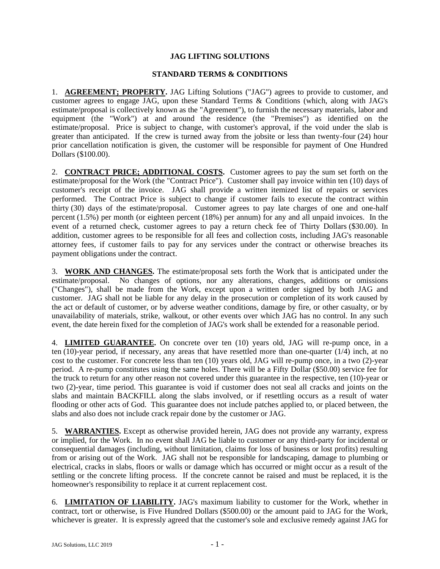## **JAG LIFTING SOLUTIONS**

## **STANDARD TERMS & CONDITIONS**

1. **AGREEMENT; PROPERTY.** JAG Lifting Solutions ("JAG") agrees to provide to customer, and customer agrees to engage JAG, upon these Standard Terms & Conditions (which, along with JAG's estimate/proposal is collectively known as the "Agreement"), to furnish the necessary materials, labor and equipment (the "Work") at and around the residence (the "Premises") as identified on the estimate/proposal. Price is subject to change, with customer's approval, if the void under the slab is greater than anticipated. If the crew is turned away from the jobsite or less than twenty-four (24) hour prior cancellation notification is given, the customer will be responsible for payment of One Hundred Dollars (\$100.00).

2. **CONTRACT PRICE; ADDITIONAL COSTS.** Customer agrees to pay the sum set forth on the estimate/proposal for the Work (the "Contract Price"). Customer shall pay invoice within ten (10) days of customer's receipt of the invoice. JAG shall provide a written itemized list of repairs or services performed. The Contract Price is subject to change if customer fails to execute the contract within thirty (30) days of the estimate/proposal. Customer agrees to pay late charges of one and one-half percent (1.5%) per month (or eighteen percent (18%) per annum) for any and all unpaid invoices. In the event of a returned check, customer agrees to pay a return check fee of Thirty Dollars (\$30.00). In addition, customer agrees to be responsible for all fees and collection costs, including JAG's reasonable attorney fees, if customer fails to pay for any services under the contract or otherwise breaches its payment obligations under the contract.

3. **WORK AND CHANGES.** The estimate/proposal sets forth the Work that is anticipated under the estimate/proposal. No changes of options, nor any alterations, changes, additions or omissions ("Changes"), shall be made from the Work, except upon a written order signed by both JAG and customer. JAG shall not be liable for any delay in the prosecution or completion of its work caused by the act or default of customer, or by adverse weather conditions, damage by fire, or other casualty, or by unavailability of materials, strike, walkout, or other events over which JAG has no control. In any such event, the date herein fixed for the completion of JAG's work shall be extended for a reasonable period.

4. **LIMITED GUARANTEE.** On concrete over ten (10) years old, JAG will re-pump once, in a ten (10)-year period, if necessary, any areas that have resettled more than one-quarter (1/4) inch, at no cost to the customer. For concrete less than ten (10) years old, JAG will re-pump once, in a two (2)-year period. A re-pump constitutes using the same holes. There will be a Fifty Dollar (\$50.00) service fee for the truck to return for any other reason not covered under this guarantee in the respective, ten (10)-year or two (2)-year, time period. This guarantee is void if customer does not seal all cracks and joints on the slabs and maintain BACKFILL along the slabs involved, or if resettling occurs as a result of water flooding or other acts of God. This guarantee does not include patches applied to, or placed between, the slabs and also does not include crack repair done by the customer or JAG.

5. **WARRANTIES.** Except as otherwise provided herein, JAG does not provide any warranty, express or implied, for the Work. In no event shall JAG be liable to customer or any third-party for incidental or consequential damages (including, without limitation, claims for loss of business or lost profits) resulting from or arising out of the Work. JAG shall not be responsible for landscaping, damage to plumbing or electrical, cracks in slabs, floors or walls or damage which has occurred or might occur as a result of the settling or the concrete lifting process. If the concrete cannot be raised and must be replaced, it is the homeowner's responsibility to replace it at current replacement cost.

6. **LIMITATION OF LIABILITY.** JAG's maximum liability to customer for the Work, whether in contract, tort or otherwise, is Five Hundred Dollars (\$500.00) or the amount paid to JAG for the Work, whichever is greater. It is expressly agreed that the customer's sole and exclusive remedy against JAG for